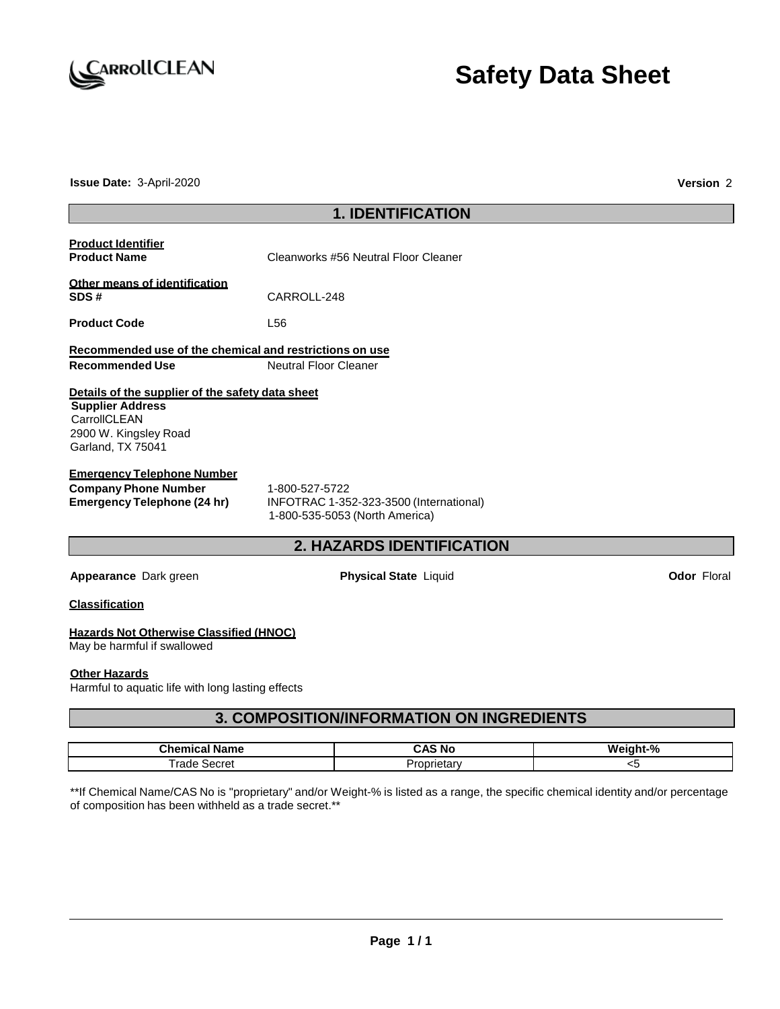

**Issue Date:** 3-April-2020 **Version** 2

| <b>1. IDENTIFICATION</b>                                                                                                                  |                       |                                                                           |  |                    |
|-------------------------------------------------------------------------------------------------------------------------------------------|-----------------------|---------------------------------------------------------------------------|--|--------------------|
| <b>Product Identifier</b><br><b>Product Name</b>                                                                                          |                       | Cleanworks #56 Neutral Floor Cleaner                                      |  |                    |
| Other means of identification<br>SDS#                                                                                                     | CARROLL-248           |                                                                           |  |                    |
| <b>Product Code</b>                                                                                                                       | L <sub>56</sub>       |                                                                           |  |                    |
| Recommended use of the chemical and restrictions on use<br><b>Recommended Use</b>                                                         | Neutral Floor Cleaner |                                                                           |  |                    |
| Details of the supplier of the safety data sheet<br><b>Supplier Address</b><br>CarrollCLEAN<br>2900 W. Kingsley Road<br>Garland, TX 75041 |                       |                                                                           |  |                    |
| <b>Emergency Telephone Number</b><br><b>Company Phone Number</b><br><b>Emergency Telephone (24 hr)</b>                                    | 1-800-527-5722        | INFOTRAC 1-352-323-3500 (International)<br>1-800-535-5053 (North America) |  |                    |
|                                                                                                                                           |                       | <b>2. HAZARDS IDENTIFICATION</b>                                          |  |                    |
| Appearance Dark green                                                                                                                     |                       | <b>Physical State Liquid</b>                                              |  | <b>Odor Floral</b> |
| <b>Classification</b>                                                                                                                     |                       |                                                                           |  |                    |
| <b>Hazards Not Otherwise Classified (HNOC)</b><br>May be harmful if swallowed                                                             |                       |                                                                           |  |                    |
| <b>Other Hazards</b><br>Harmful to aquatic life with long lasting effects                                                                 |                       |                                                                           |  |                    |
|                                                                                                                                           |                       | <b>3. COMPOSITION/INFORMATION ON INGREDIENTS</b>                          |  |                    |
| <b>Chemical Name</b>                                                                                                                      |                       | <b>CAS No</b>                                                             |  | Weight-%           |

\*\*If Chemical Name/CAS No is "proprietary" and/or Weight-% is listed as a range, the specific chemical identity and/or percentage of composition has been withheld as a trade secret.\*\*

Trade Secret **Proprietary** Proprietary **Proprietary** <5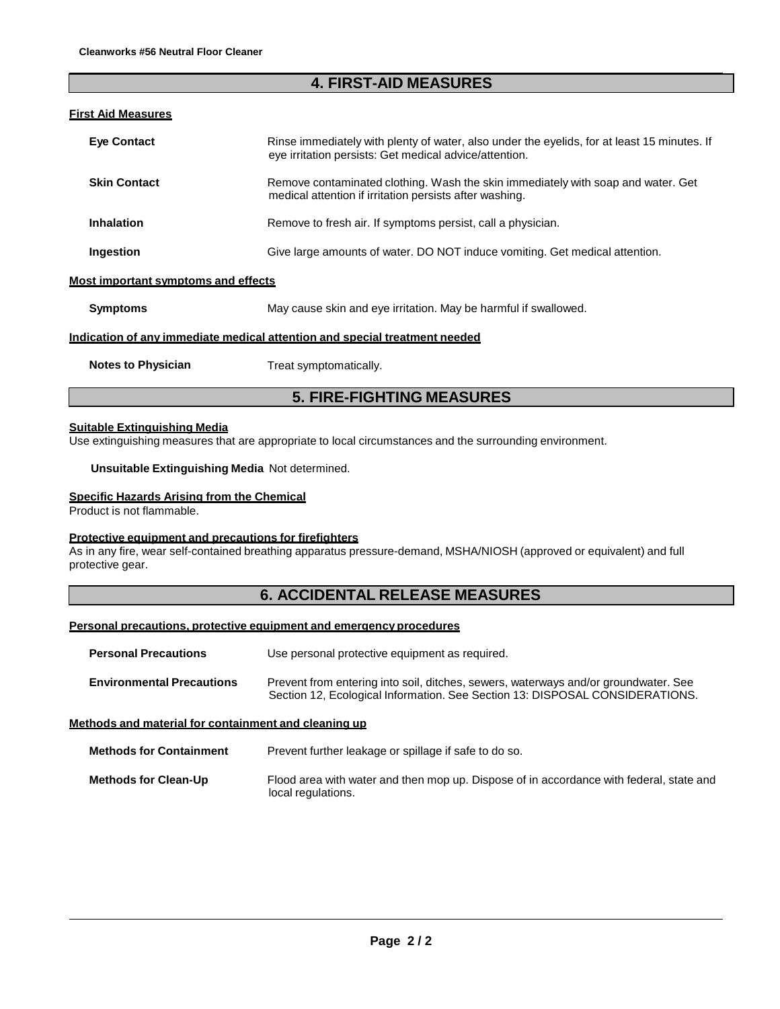# **4. FIRST-AID MEASURES**

#### **First Aid Measures**

| <b>Eve Contact</b>                         | Rinse immediately with plenty of water, also under the eyelids, for at least 15 minutes. If<br>eye irritation persists: Get medical advice/attention. |
|--------------------------------------------|-------------------------------------------------------------------------------------------------------------------------------------------------------|
| <b>Skin Contact</b>                        | Remove contaminated clothing. Wash the skin immediately with soap and water. Get<br>medical attention if irritation persists after washing.           |
| <b>Inhalation</b>                          | Remove to fresh air. If symptoms persist, call a physician.                                                                                           |
| Ingestion                                  | Give large amounts of water. DO NOT induce vomiting. Get medical attention.                                                                           |
| <b>Most important symptoms and effects</b> |                                                                                                                                                       |
| <b>Symptoms</b>                            | May cause skin and eye irritation. May be harmful if swallowed.                                                                                       |
|                                            | <u>Indication of any immediate medical attention and special treatment needed</u>                                                                     |
| <b>Notes to Physician</b>                  | Treat symptomatically.                                                                                                                                |

**5. FIRE-FIGHTING MEASURES**

# **Suitable Extinguishing Media**

Use extinguishing measures that are appropriate to local circumstances and the surrounding environment.

#### **Unsuitable Extinguishing Media** Not determined.

#### **Specific Hazards Arising from the Chemical**

Product is not flammable.

#### **Protective equipment and precautions for firefighters**

As in any fire, wear self-contained breathing apparatus pressure-demand, MSHA/NIOSH (approved or equivalent) and full protective gear.

### **6. ACCIDENTAL RELEASE MEASURES**

#### **Personal precautions, protective equipment and emergency procedures**

**Personal Precautions** Use personal protective equipment as required.

| FU SUIM FIUCAULIUIS              | Ose personal protective equipment as required.                                                                                                                      |
|----------------------------------|---------------------------------------------------------------------------------------------------------------------------------------------------------------------|
| <b>Environmental Precautions</b> | Prevent from entering into soil, ditches, sewers, waterways and/or groundwater. See<br>Section 12, Ecological Information. See Section 13: DISPOSAL CONSIDERATIONS. |

#### **Methods and material for containment and cleaning up**

| <b>Methods for Containment</b> | Prevent further leakage or spillage if safe to do so.                                                         |  |  |
|--------------------------------|---------------------------------------------------------------------------------------------------------------|--|--|
| <b>Methods for Clean-Up</b>    | Flood area with water and then mop up. Dispose of in accordance with federal, state and<br>local regulations. |  |  |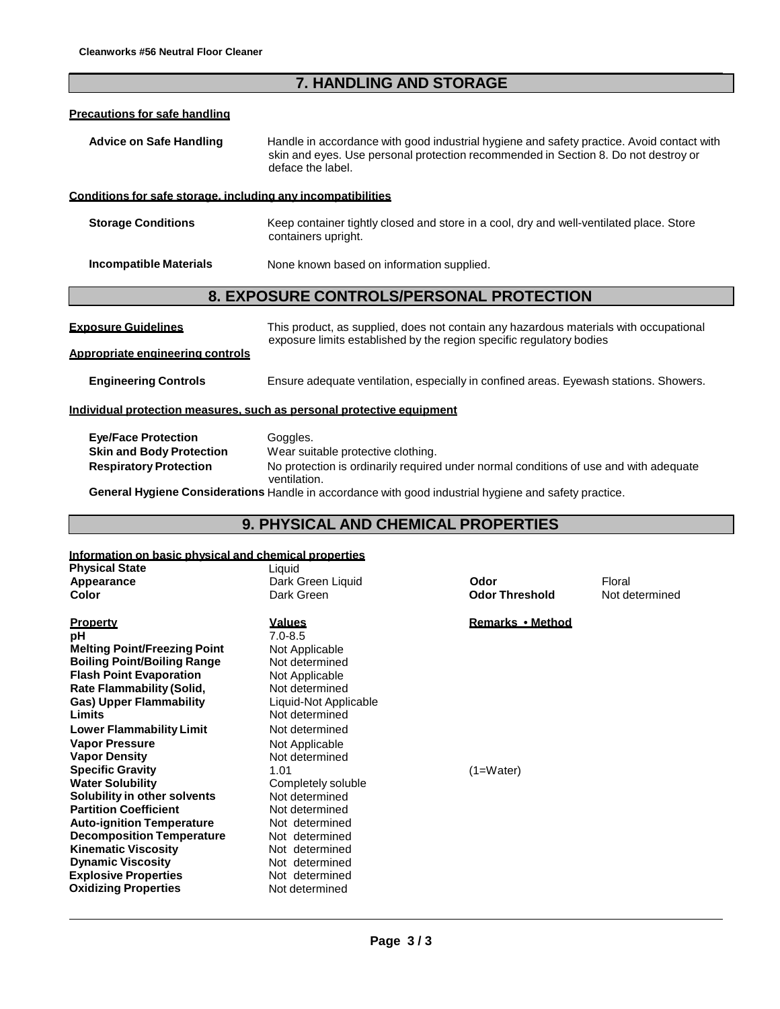# **7. HANDLING AND STORAGE**

#### **Precautions for safe handling**

| <b>Advice on Safe Handling</b> | Handle in accordance with good industrial hygiene and safety practice. Avoid contact with |
|--------------------------------|-------------------------------------------------------------------------------------------|
|                                | skin and eyes. Use personal protection recommended in Section 8. Do not destroy or        |
|                                | deface the label.                                                                         |

#### **Conditions for safe storage, including any incompatibilities**

| <b>Storage Conditions</b> | Keep container tightly closed and store in a cool, dry and well-ventilated place. Store |
|---------------------------|-----------------------------------------------------------------------------------------|
|                           | containers upright.                                                                     |

**Incompatible Materials** None known based on information supplied.

### **8. EXPOSURE CONTROLS/PERSONAL PROTECTION**

| <b>Exposure Guidelines</b>       | This product, as supplied, does not contain any hazardous materials with occupational |
|----------------------------------|---------------------------------------------------------------------------------------|
| Appropriate engineering controls | exposure limits established by the region specific regulatory bodies                  |
| <b>Engineering Controls</b>      | Ensure adequate ventilation, especially in confined areas. Eyewash stations. Showers. |
|                                  | Individual protection measures, such as personal protective equipment                 |

| <b>Eye/Face Protection</b>      | Goggles.                                                                                              |
|---------------------------------|-------------------------------------------------------------------------------------------------------|
| <b>Skin and Body Protection</b> | Wear suitable protective clothing.                                                                    |
| <b>Respiratory Protection</b>   | No protection is ordinarily required under normal conditions of use and with adequate<br>ventilation. |

**General Hygiene Considerations** Handle in accordance with good industrial hygiene and safety practice.

# **9. PHYSICAL AND CHEMICAL PROPERTIES**

### **Information on basic physical and chemical properties**

| <b>Physical State</b>               | Liquid                |                       |                |
|-------------------------------------|-----------------------|-----------------------|----------------|
| Appearance                          | Dark Green Liquid     | Odor                  | Floral         |
| Color                               | Dark Green            | <b>Odor Threshold</b> | Not determined |
| Property                            | <u>Values</u>         | Remarks • Method      |                |
| рH                                  | $7.0 - 8.5$           |                       |                |
| <b>Melting Point/Freezing Point</b> | Not Applicable        |                       |                |
| <b>Boiling Point/Boiling Range</b>  | Not determined        |                       |                |
| <b>Flash Point Evaporation</b>      | Not Applicable        |                       |                |
| <b>Rate Flammability (Solid,</b>    | Not determined        |                       |                |
| <b>Gas) Upper Flammability</b>      | Liquid-Not Applicable |                       |                |
| Limits                              | Not determined        |                       |                |
| <b>Lower Flammability Limit</b>     | Not determined        |                       |                |
| <b>Vapor Pressure</b>               | Not Applicable        |                       |                |
| <b>Vapor Density</b>                | Not determined        |                       |                |
| <b>Specific Gravity</b>             | 1.01                  | $(1=Water)$           |                |
| <b>Water Solubility</b>             | Completely soluble    |                       |                |
| Solubility in other solvents        | Not determined        |                       |                |
| <b>Partition Coefficient</b>        | Not determined        |                       |                |
| <b>Auto-ignition Temperature</b>    | Not determined        |                       |                |
| <b>Decomposition Temperature</b>    | Not determined        |                       |                |
| <b>Kinematic Viscosity</b>          | Not determined        |                       |                |
| <b>Dynamic Viscosity</b>            | Not determined        |                       |                |
| <b>Explosive Properties</b>         | Not determined        |                       |                |
| Oxidizing Properties                | Not determined        |                       |                |
|                                     |                       |                       |                |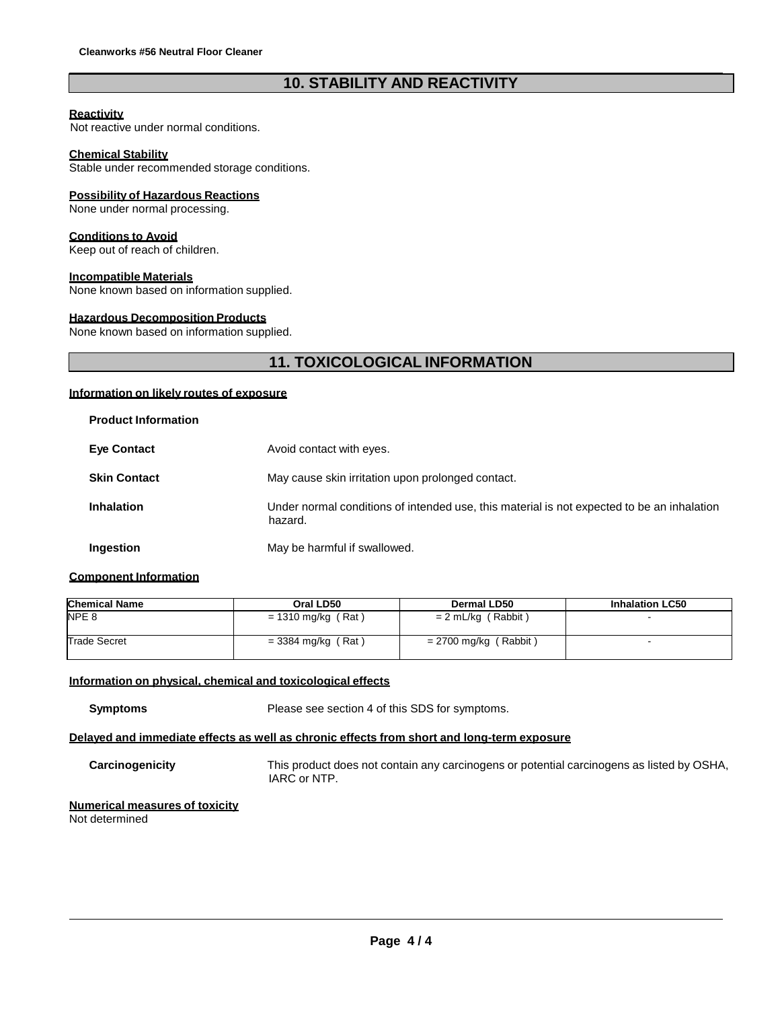# **10. STABILITY AND REACTIVITY**

#### **Reactivity**

Not reactive under normal conditions.

#### **Chemical Stability**

Stable under recommended storage conditions.

#### **Possibility of Hazardous Reactions**

None under normal processing.

#### **Conditions to Avoid**

Keep out of reach of children.

#### **Incompatible Materials**

None known based on information supplied.

#### **Hazardous Decomposition Products**

None known based on information supplied.

# **11. TOXICOLOGICAL INFORMATION**

### **Information on likely routes of exposure**

| <b>Product Information</b> |                                                                                                       |
|----------------------------|-------------------------------------------------------------------------------------------------------|
| <b>Eve Contact</b>         | Avoid contact with eyes.                                                                              |
| <b>Skin Contact</b>        | May cause skin irritation upon prolonged contact.                                                     |
| <b>Inhalation</b>          | Under normal conditions of intended use, this material is not expected to be an inhalation<br>hazard. |
| Ingestion                  | May be harmful if swallowed.                                                                          |

#### **Component Information**

| <b>Chemical Name</b> | Oral LD50            | Dermal LD50             | <b>Inhalation LC50</b> |
|----------------------|----------------------|-------------------------|------------------------|
| NPE <sub>8</sub>     | $= 1310$ mg/kg (Rat) | $= 2$ mL/kg (Rabbit)    |                        |
| <b>Trade Secret</b>  | $=$ 3384 mg/kg (Rat) | $= 2700$ mg/kg (Rabbit) |                        |

#### **Information on physical, chemical and toxicological effects**

**Symptoms** Please see section 4 of this SDS for symptoms.

### **Delayed and immediate effects as well as chronic effects from short and long-term exposure**

**Carcinogenicity** This product does not contain any carcinogens or potential carcinogens as listed by OSHA, IARC or NTP.

# **Numerical measures of toxicity**

Not determined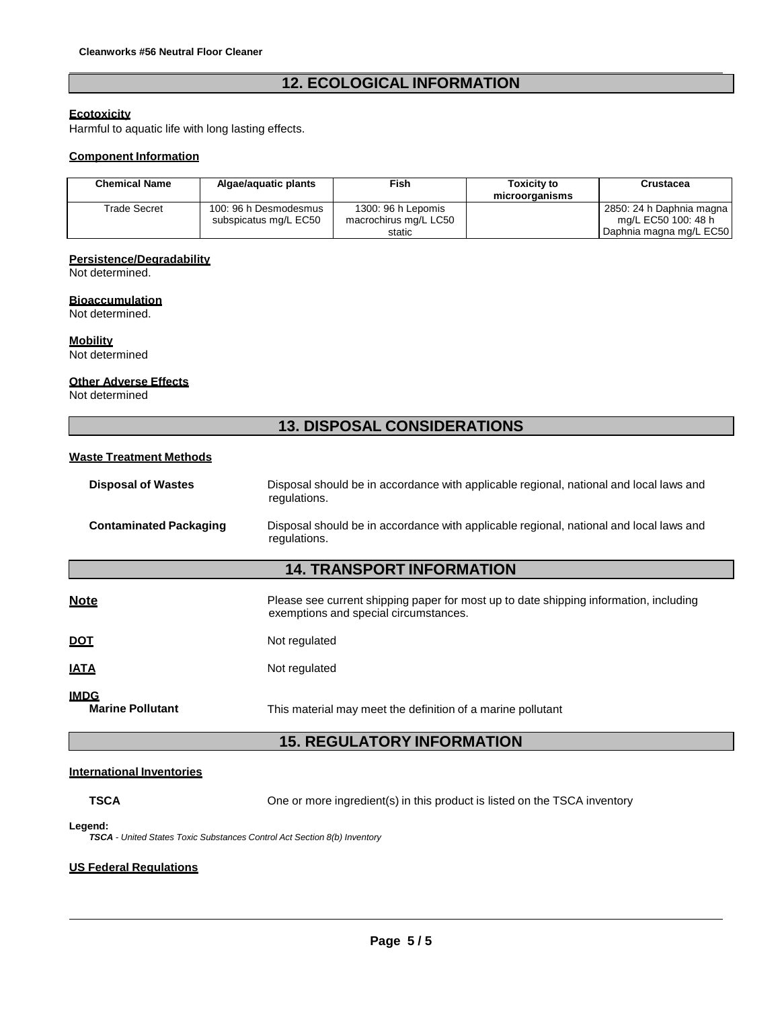# **12. ECOLOGICAL INFORMATION**

#### **Ecotoxicity**

Harmful to aquatic life with long lasting effects.

#### **Component Information**

| <b>Chemical Name</b> | Algae/aguatic plants  | Fish                  | Toxicity to<br>microorganisms | <b>Crustacea</b>           |
|----------------------|-----------------------|-----------------------|-------------------------------|----------------------------|
| Trade Secret         | 100: 96 h Desmodesmus | 1300: 96 h Lepomis    |                               | 2850: 24 h Daphnia magna l |
|                      | subspicatus mg/L EC50 | macrochirus mg/L LC50 |                               | mg/L EC50 100: 48 h        |
|                      |                       | static                |                               | Daphnia magna mg/L EC50    |

#### **Persistence/Degradability**

Not determined.

#### **Bioaccumulation**

Not determined.

**Mobility**

Not determined

#### **Other Adverse Effects**

Not determined

# **13. DISPOSAL CONSIDERATIONS**

#### **Waste Treatment Methods**

| <b>Disposal of Wastes</b>     | Disposal should be in accordance with applicable regional, national and local laws and<br>regulations. |
|-------------------------------|--------------------------------------------------------------------------------------------------------|
| <b>Contaminated Packaging</b> | Disposal should be in accordance with applicable regional, national and local laws and<br>regulations. |

## **14. TRANSPORT INFORMATION**

| <b>Note</b>                            | Please see current shipping paper for most up to date shipping information, including<br>exemptions and special circumstances. |
|----------------------------------------|--------------------------------------------------------------------------------------------------------------------------------|
| <u>DOT</u>                             | Not regulated                                                                                                                  |
| <u>IATA</u>                            | Not regulated                                                                                                                  |
| <u>IMDG</u><br><b>Marine Pollutant</b> | This material may meet the definition of a marine pollutant                                                                    |

## **15. REGULATORY INFORMATION**

#### **International Inventories**

**TSCA CONE CONE CONE CONE CONE IN TSCA INTERFERIENT CONE ON THE USE OF SCALI CONE CONE CONE CONE CONE CONE CONE CON** 

**Legend:**

*TSCA - United States Toxic Substances Control Act Section 8(b) Inventory*

#### **US Federal Regulations**